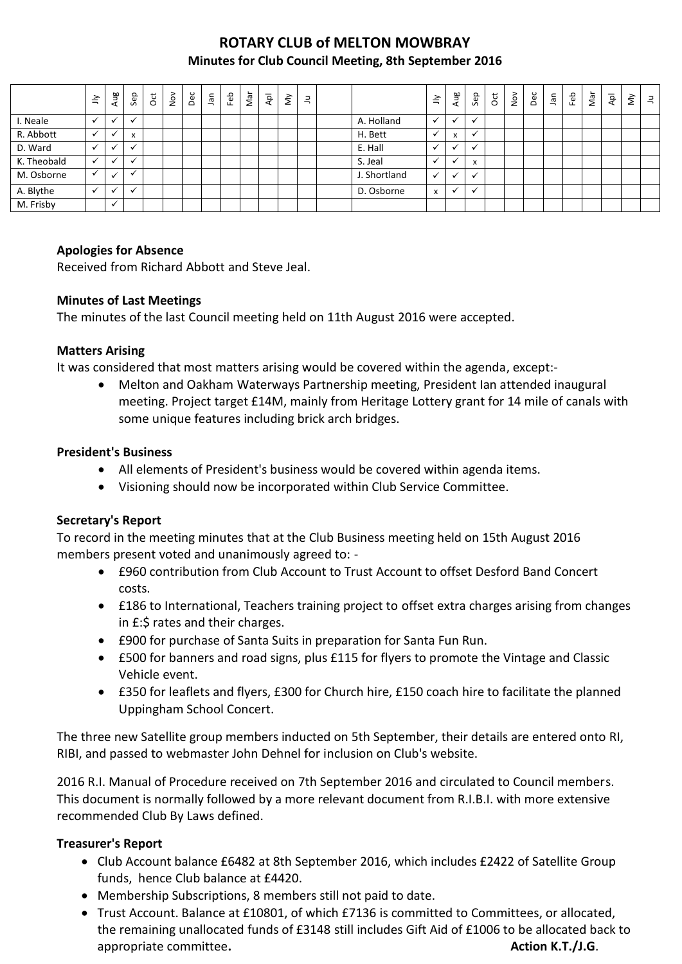# **ROTARY CLUB of MELTON MOWBRAY Minutes for Club Council Meeting, 8th September 2016**

|             | $\preceq$    | Aug                      | Sep | ğ | $\sum_{i=1}^{\infty}$ | Dec | Jan | Feb | Nar | $\overline{\mathsf{P}}$ | š | $\equiv$ |              | $\leq$       | Aug                      | Sep                       | $\frac{1}{2}$ | Dec | nel. | Feb | Nar | $\bar{A}$ | $\check{\varepsilon}$ | $\exists$ |
|-------------|--------------|--------------------------|-----|---|-----------------------|-----|-----|-----|-----|-------------------------|---|----------|--------------|--------------|--------------------------|---------------------------|---------------|-----|------|-----|-----|-----------|-----------------------|-----------|
| I. Neale    | $\checkmark$ | $\overline{\phantom{a}}$ |     |   |                       |     |     |     |     |                         |   |          | A. Holland   |              | $\overline{\phantom{a}}$ | $\cdot$                   |               |     |      |     |     |           |                       |           |
| R. Abbott   | $\checkmark$ |                          | X   |   |                       |     |     |     |     |                         |   |          | H. Bett      |              | X                        | $\cdot$                   |               |     |      |     |     |           |                       |           |
| D. Ward     | $\checkmark$ | $\check{ }$              |     |   |                       |     |     |     |     |                         |   |          | E. Hall      |              |                          | $\ddot{\phantom{0}}$      |               |     |      |     |     |           |                       |           |
| K. Theobald | $\checkmark$ | $\checkmark$             |     |   |                       |     |     |     |     |                         |   |          | S. Jeal      |              |                          | $\boldsymbol{\mathsf{x}}$ |               |     |      |     |     |           |                       |           |
| M. Osborne  | $\checkmark$ | $\check{ }$              |     |   |                       |     |     |     |     |                         |   |          | J. Shortland | $\checkmark$ | $\checkmark$             | $\ddot{\phantom{0}}$      |               |     |      |     |     |           |                       |           |
| A. Blythe   | $\checkmark$ | $\overline{\phantom{a}}$ |     |   |                       |     |     |     |     |                         |   |          | D. Osborne   | x            | $\checkmark$             | $\ddot{\phantom{0}}$      |               |     |      |     |     |           |                       |           |
| M. Frisby   |              | $\check{ }$              |     |   |                       |     |     |     |     |                         |   |          |              |              |                          |                           |               |     |      |     |     |           |                       |           |

## **Apologies for Absence**

Received from Richard Abbott and Steve Jeal.

#### **Minutes of Last Meetings**

The minutes of the last Council meeting held on 11th August 2016 were accepted.

#### **Matters Arising**

It was considered that most matters arising would be covered within the agenda, except:-

 Melton and Oakham Waterways Partnership meeting, President Ian attended inaugural meeting. Project target £14M, mainly from Heritage Lottery grant for 14 mile of canals with some unique features including brick arch bridges.

#### **President's Business**

- All elements of President's business would be covered within agenda items.
- Visioning should now be incorporated within Club Service Committee.

## **Secretary's Report**

To record in the meeting minutes that at the Club Business meeting held on 15th August 2016 members present voted and unanimously agreed to: -

- £960 contribution from Club Account to Trust Account to offset Desford Band Concert costs.
- £186 to International, Teachers training project to offset extra charges arising from changes in £:\$ rates and their charges.
- £900 for purchase of Santa Suits in preparation for Santa Fun Run.
- £500 for banners and road signs, plus £115 for flyers to promote the Vintage and Classic Vehicle event.
- £350 for leaflets and flyers, £300 for Church hire, £150 coach hire to facilitate the planned Uppingham School Concert.

The three new Satellite group members inducted on 5th September, their details are entered onto RI, RIBI, and passed to webmaster John Dehnel for inclusion on Club's website.

2016 R.I. Manual of Procedure received on 7th September 2016 and circulated to Council members. This document is normally followed by a more relevant document from R.I.B.I. with more extensive recommended Club By Laws defined.

## **Treasurer's Report**

- Club Account balance £6482 at 8th September 2016, which includes £2422 of Satellite Group funds, hence Club balance at £4420.
- Membership Subscriptions, 8 members still not paid to date.
- Trust Account. Balance at £10801, of which £7136 is committed to Committees, or allocated, the remaining unallocated funds of £3148 still includes Gift Aid of £1006 to be allocated back to appropriate committee. Action K.T./J.G.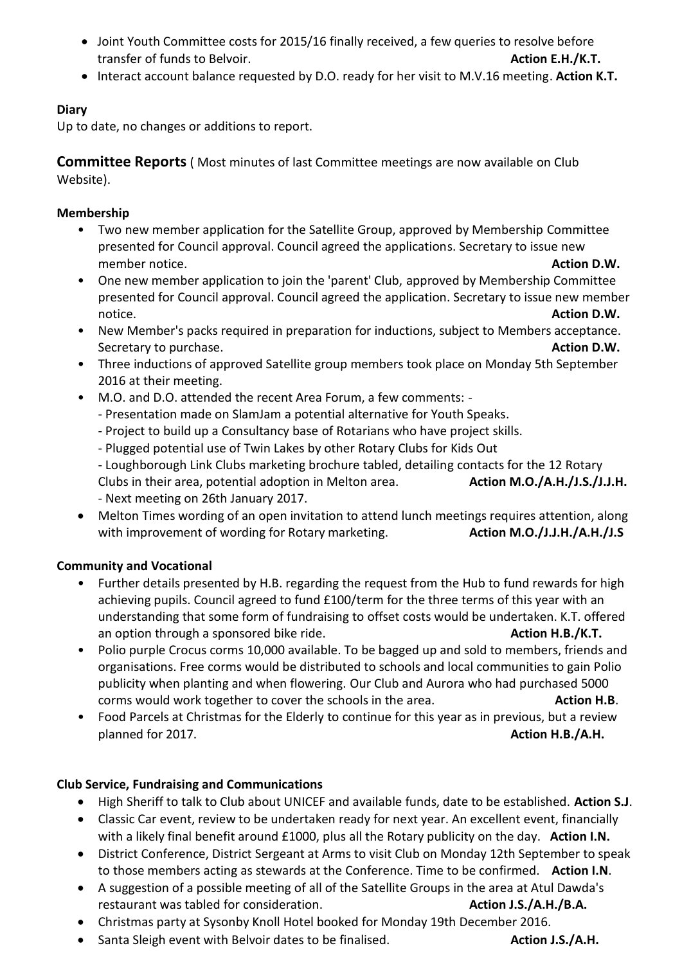- Joint Youth Committee costs for 2015/16 finally received, a few queries to resolve before transfer of funds to Belvoir. **Action E.H./K.T. Action E.H./K.T.**
- Interact account balance requested by D.O. ready for her visit to M.V.16 meeting. **Action K.T.**

## **Diary**

Up to date, no changes or additions to report.

**Committee Reports** ( Most minutes of last Committee meetings are now available on Club Website).

## **Membership**

- Two new member application for the Satellite Group, approved by Membership Committee presented for Council approval. Council agreed the applications. Secretary to issue new member notice. **Action D.W. Action D.W. Action D.W. Action D.W. Action D.W.**
- One new member application to join the 'parent' Club, approved by Membership Committee presented for Council approval. Council agreed the application. Secretary to issue new member notice. **Action D.W.**
- New Member's packs required in preparation for inductions, subject to Members acceptance. Secretary to purchase. **Action D.W. Action D.W. Action D.W. Action D.W.**
- Three inductions of approved Satellite group members took place on Monday 5th September 2016 at their meeting.
- M.O. and D.O. attended the recent Area Forum, a few comments:
	- Presentation made on SlamJam a potential alternative for Youth Speaks.
	- Project to build up a Consultancy base of Rotarians who have project skills.
	- Plugged potential use of Twin Lakes by other Rotary Clubs for Kids Out
	- Loughborough Link Clubs marketing brochure tabled, detailing contacts for the 12 Rotary
	- Clubs in their area, potential adoption in Melton area. **Action M.O./A.H./J.S./J.J.H.** - Next meeting on 26th January 2017.
- Melton Times wording of an open invitation to attend lunch meetings requires attention, along with improvement of wording for Rotary marketing. **Action M.O./J.J.H./A.H./J.S**

## **Community and Vocational**

- Further details presented by H.B. regarding the request from the Hub to fund rewards for high achieving pupils. Council agreed to fund £100/term for the three terms of this year with an understanding that some form of fundraising to offset costs would be undertaken. K.T. offered an option through a sponsored bike ride. **Action H.B./K.T. Action H.B./K.T.**
- Polio purple Crocus corms 10,000 available. To be bagged up and sold to members, friends and organisations. Free corms would be distributed to schools and local communities to gain Polio publicity when planting and when flowering. Our Club and Aurora who had purchased 5000 corms would work together to cover the schools in the area. **Action H.B.** Action H.B.
- Food Parcels at Christmas for the Elderly to continue for this year as in previous, but a review planned for 2017. **Action H.B./A.H.**

## **Club Service, Fundraising and Communications**

- High Sheriff to talk to Club about UNICEF and available funds, date to be established. **Action S.J**.
- Classic Car event, review to be undertaken ready for next year. An excellent event, financially with a likely final benefit around £1000, plus all the Rotary publicity on the day. **Action I.N.**
- District Conference, District Sergeant at Arms to visit Club on Monday 12th September to speak to those members acting as stewards at the Conference. Time to be confirmed. **Action I.N**.
- A suggestion of a possible meeting of all of the Satellite Groups in the area at Atul Dawda's restaurant was tabled for consideration. **Action J.S./A.H./B.A.** Consequently and the set of the set of the set o
- Christmas party at Sysonby Knoll Hotel booked for Monday 19th December 2016.
- Santa Sleigh event with Belvoir dates to be finalised. **Action J.S./A.H. Action J.S./A.H.**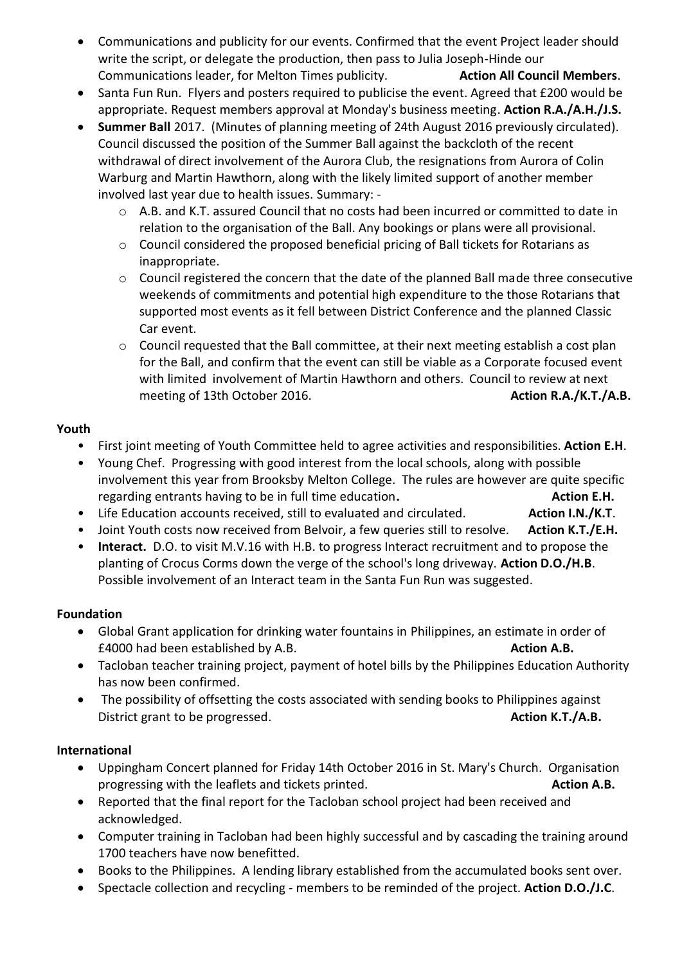- Communications and publicity for our events. Confirmed that the event Project leader should write the script, or delegate the production, then pass to Julia Joseph-Hinde our Communications leader, for Melton Times publicity. **Action All Council Members**.
- Santa Fun Run. Flyers and posters required to publicise the event. Agreed that £200 would be appropriate. Request members approval at Monday's business meeting. **Action R.A./A.H./J.S.**
- **Summer Ball** 2017. (Minutes of planning meeting of 24th August 2016 previously circulated). Council discussed the position of the Summer Ball against the backcloth of the recent withdrawal of direct involvement of the Aurora Club, the resignations from Aurora of Colin Warburg and Martin Hawthorn, along with the likely limited support of another member involved last year due to health issues. Summary: -
	- $\circ$  A.B. and K.T. assured Council that no costs had been incurred or committed to date in relation to the organisation of the Ball. Any bookings or plans were all provisional.
	- o Council considered the proposed beneficial pricing of Ball tickets for Rotarians as inappropriate.
	- o Council registered the concern that the date of the planned Ball made three consecutive weekends of commitments and potential high expenditure to the those Rotarians that supported most events as it fell between District Conference and the planned Classic Car event.
	- $\circ$  Council requested that the Ball committee, at their next meeting establish a cost plan for the Ball, and confirm that the event can still be viable as a Corporate focused event with limited involvement of Martin Hawthorn and others. Council to review at next meeting of 13th October 2016. **Action R.A./K.T./A.B. Action R.A./K.T./A.B.**

## **Youth**

- First joint meeting of Youth Committee held to agree activities and responsibilities. **Action E.H**.
- Young Chef. Progressing with good interest from the local schools, along with possible involvement this year from Brooksby Melton College. The rules are however are quite specific regarding entrants having to be in full time education. The same states are set to the education of the set of t
- Life Education accounts received, still to evaluated and circulated. **Action I.N./K.T**.
- Joint Youth costs now received from Belvoir, a few queries still to resolve. **Action K.T./E.H.**
- **Interact.** D.O. to visit M.V.16 with H.B. to progress Interact recruitment and to propose the planting of Crocus Corms down the verge of the school's long driveway. **Action D.O./H.B**. Possible involvement of an Interact team in the Santa Fun Run was suggested.

## **Foundation**

- Global Grant application for drinking water fountains in Philippines, an estimate in order of £4000 had been established by A.B. **Action A.B.**
- Tacloban teacher training project, payment of hotel bills by the Philippines Education Authority has now been confirmed.
- The possibility of offsetting the costs associated with sending books to Philippines against District grant to be progressed. **Action K.T./A.B. Action K.T./A.B. Action K.T./A.B.**

## **International**

- Uppingham Concert planned for Friday 14th October 2016 in St. Mary's Church. Organisation progressing with the leaflets and tickets printed. **Action A.B. Action A.B.**
- Reported that the final report for the Tacloban school project had been received and acknowledged.
- Computer training in Tacloban had been highly successful and by cascading the training around 1700 teachers have now benefitted.
- Books to the Philippines. A lending library established from the accumulated books sent over.
- Spectacle collection and recycling members to be reminded of the project. **Action D.O./J.C**.